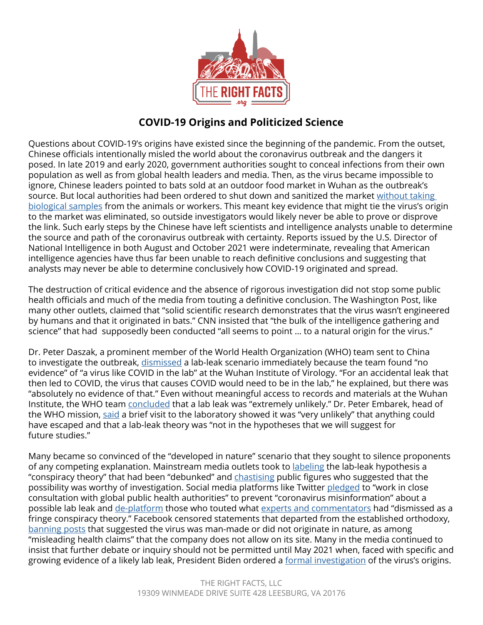

# **COVID-19 Origins and Politicized Science**

Questions about COVID-19's origins have existed since the beginning of the pandemic. From the outset, Chinese officials intentionally misled the world about the coronavirus outbreak and the dangers it posed. In late 2019 and early 2020, government authorities sought to conceal infections from their own population as well as from global health leaders and media. Then, as the virus became impossible to ignore, Chinese leaders pointed to bats sold at an outdoor food market in Wuhan as the outbreak's source. But local authorities had been ordered to shut down and sanitized the market [without taking](https://www.washingtonpost.com/opinions/2021/03/04/covid-trump-xi-josh-rogin/)  [biological samples](https://www.washingtonpost.com/opinions/2021/03/04/covid-trump-xi-josh-rogin/) from the animals or workers. This meant key evidence that might tie the virus's origin to the market was eliminated, so outside investigators would likely never be able to prove or disprove the link. Such early steps by the Chinese have left scientists and intelligence analysts unable to determine the source and path of the coronavirus outbreak with certainty. Reports issued by the U.S. Director of National Intelligence in both August and October 2021 were [indeterminate,](https://www.dni.gov/files/ODNI/documents/assessments/Declassified-Assessment-on-COVID-19-Origins.pdf) revealing that American intelligence agencies have thus far been [unable](https://apnews.com/article/science-health-coronavirus-pandemic-2570b89545d4332b8a3bd7289982aa22) to reach definitive conclusions and suggesting that analysts [may never](https://apnews.com/article/coronavirus-pandemic-joe-biden-science-health-china-2fe4518ac7aef9b54ea4329385d121c4?utm_source=newsletter&utm_medium=email&utm_campaign=newsletter_axiospm&stream=top) be able to determine conclusively how COVID-19 originated and spread.

The destruction of critical evidence and the absence of rigorous investigation did not stop some public health officials and much of the media from touting a definitive conclusion. The Washington Post, like many other outlets, [claimed](https://www.washingtonpost.com/opinions/global-opinions/how-did-covid-19-begin-its-initial-origin-story-is-shaky/2020/04/02/1475d488-7521-11ea-87da-77a8136c1a6d_story.html) that "solid scientific research demonstrates that the virus wasn't engineered by humans and that it originated in bats." CNN [insisted](https://www.cnn.com/2020/05/05/politics/fauci-trump-coronavirus-wuhan-lab/index.html) that "the bulk of the intelligence gathering and science" that had supposedly been conducted "all seems to point … to a natural origin for the virus."

Dr. Peter Daszak, a prominent member of the World Health Organization (WHO) team sent to China to investigate the outbreak, [dismissed](https://www.cbsnews.com/news/covid-19-wuhan-origins-60-minutes-2021-03-28/) a lab-leak scenario immediately because the team found "no evidence" of "a virus like COVID in the lab" at the Wuhan Institute of Virology. "For an accidental leak that then led to COVID, the virus that causes COVID would need to be in the lab," he explained, but there was "absolutely no evidence of that." Even without meaningful access to records and materials at the Wuhan Institute, the WHO team [concluded](https://www.bbc.com/news/world-asia-china-55996728) that a lab leak was "extremely unlikely." Dr. Peter Embarek, head of the WHO mission, [said](https://www.bbc.com/news/world-asia-china-55996728) a brief visit to the laboratory showed it was "very unlikely" that anything could have escaped and that a lab-leak theory was "not in the hypotheses that we will suggest for future studies."

Many became so convinced of the "developed in nature" scenario that they sought to silence proponents of any competing explanation. Mainstream media outlets took to [labeling](https://www.washingtonpost.com/politics/2020/02/16/tom-cotton-coronavirus-conspiracy/) the lab-leak hypothesis a "conspiracy theory" that had been "debunked" and [chastising](https://www.nytimes.com/2020/02/17/business/media/coronavirus-tom-cotton-china.html) public figures who suggested that the possibility was worthy of investigation. Social media platforms like Twitter [pledged](https://www.politico.com/news/2021/05/26/facebook-ban-covid-man-made-491053) to "work in close consultation with global public health authorities" to prevent "coronavirus misinformation" about a possible lab leak and [de-platform](https://www.forbes.com/sites/kenrapoza/2020/04/14/the-washington-post-goes-rogue-china-lab-in-focus-of-coronavirus-outbreak/?sh=6171b50c1ee1) those who touted what [experts and commentators](https://twitter.com/AtlanticCouncil/status/1234237103300579328?ref_src=twsrc%5Etfw%7Ctwcamp%5Etweetembed%7Ctwterm%5E1234237103300579328%7Ctwgr%5E%7Ctwcon%5Es1_&ref_url=https%3A%2F%2Fwww.vox.com%2F2020%2F3%2F4%2F21156607%2Fhow-did-the-coronavirus-get-started-china-wuhan-lab) had "dismissed as a fringe conspiracy theory." Facebook censored statements that departed from the established orthodoxy, [banning posts](https://www.wsj.com/articles/facebook-ends-ban-on-posts-asserting-covid-19-was-man-made-11622094890) that suggested the virus was man-made or did not originate in nature, as among "misleading health claims" that the company does not allow on its site. Many in the media continued to insist that further debate or inquiry should not be permitted until May 2021 when, faced with specific and growing evidence of a likely lab leak, President Biden ordered a [formal investigation](https://www.bbc.com/news/world-us-canada-57260009) of the virus's origins.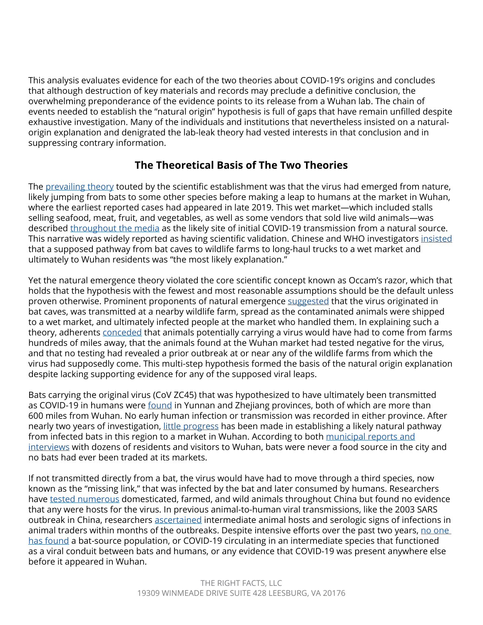This analysis evaluates evidence for each of the two theories about COVID-19's origins and concludes that although destruction of key materials and records may preclude a definitive conclusion, the overwhelming preponderance of the evidence points to its release from a Wuhan lab. The chain of events needed to establish the "natural origin" hypothesis is full of gaps that have remain unfilled despite exhaustive investigation. Many of the individuals and institutions that nevertheless insisted on a naturalorigin explanation and denigrated the lab-leak theory had vested interests in that conclusion and in suppressing contrary information.

### **The Theoretical Basis of The Two Theories**

The [prevailing theory](https://www.vanityfair.com/news/2021/06/the-lab-leak-theory-inside-the-fight-to-uncover-covid-19s-origins) touted by the scientific establishment was that the virus had emerged from nature, likely jumping from bats to some other species before making a leap to humans at the market in Wuhan, where the earliest reported cases had appeared in late 2019. This wet market—which included stalls selling seafood, meat, fruit, and vegetables, as well as some vendors that sold live wild animals—was described [throughout the media](https://www.businessinsider.com/wuhan-coronavirus-chinese-wet-market-photos-2020-1) as the likely site of initial COVID-19 transmission from a natural source. This narrative was widely reported as having scientific validation. Chinese and WHO investigators [insisted](https://www.cbsnews.com/news/covid-19-wuhan-origins-60-minutes-2021-03-28/) that a supposed pathway from bat caves to wildlife farms to long-haul trucks to a wet market and ultimately to Wuhan residents was "the most likely explanation."

Yet the natural emergence theory violated the core scientific concept known as Occam's razor, which that holds that the hypothesis with the fewest and most reasonable assumptions should be the default unless proven otherwise. Prominent proponents of natural emergence [suggested](https://www.cbsnews.com/news/covid-19-wuhan-origins-60-minutes-2021-03-28/) that the virus originated in bat caves, was transmitted at a nearby wildlife farm, spread as the contaminated animals were shipped to a wet market, and ultimately infected people at the market who handled them. In explaining such a theory, adherents [conceded](https://www.cbsnews.com/news/covid-19-wuhan-origins-60-minutes-2021-03-28/) that animals potentially carrying a virus would have had to come from farms hundreds of miles away, that the animals found at the Wuhan market had tested negative for the virus, and that no testing had revealed a prior outbreak at or near any of the wildlife farms from which the virus had supposedly come. This multi-step hypothesis formed the basis of the natural origin explanation despite lacking supporting evidence for any of the supposed viral leaps.

Bats carrying the original virus (CoV ZC45) that was hypothesized to have ultimately been transmitted as COVID-19 in humans were [found](https://img-prod.tgcom24.mediaset.it/images/2020/02/16/114720192-5eb8307f-017c-4075-a697-348628da0204.pdf) in Yunnan and Zhejiang provinces, both of which are more than 600 miles from Wuhan. No early human infection or transmission was recorded in either province. After nearly two years of investigation, [little progress](https://www.washingtonpost.com/world/asia_pacific/china-covid-bats-caves-hubei/2021/10/10/082eb8b6-1c32-11ec-bea8-308ea134594f_story.html) has been made in establishing a likely natural pathway from infected bats in this region to a market in Wuhan. According to both [municipal reports and](https://img-prod.tgcom24.mediaset.it/images/2020/02/16/114720192-5eb8307f-017c-4075-a697-348628da0204.pdf) [interviews](https://img-prod.tgcom24.mediaset.it/images/2020/02/16/114720192-5eb8307f-017c-4075-a697-348628da0204.pdf) with dozens of residents and visitors to Wuhan, bats were never a food source in the city and no bats had ever been traded at its markets.

If not transmitted directly from a bat, the virus would have had to move through a third species, now known as the "missing link," that was infected by the bat and later consumed by humans. Researchers have [tested numerous](https://www.nature.com/articles/d41586-020-01449-8) domesticated, farmed, and wild animals throughout China but found no evidence that any were hosts for the virus. In previous animal-to-human viral transmissions, like the 2003 SARS outbreak in China, researchers [ascertained](https://pubmed.ncbi.nlm.nih.gov/14561956/) intermediate animal hosts and serologic signs of infections in animal traders within months of the outbreaks. Despite intensive efforts over the past two years, [no one](https://www.researchsquare.com/article/rs-885194/v1)  [has found](https://www.researchsquare.com/article/rs-885194/v1) a bat-source population, or COVID-19 circulating in an intermediate species that functioned as a viral conduit between bats and humans, or any evidence that COVID-19 was present anywhere else before it appeared in Wuhan.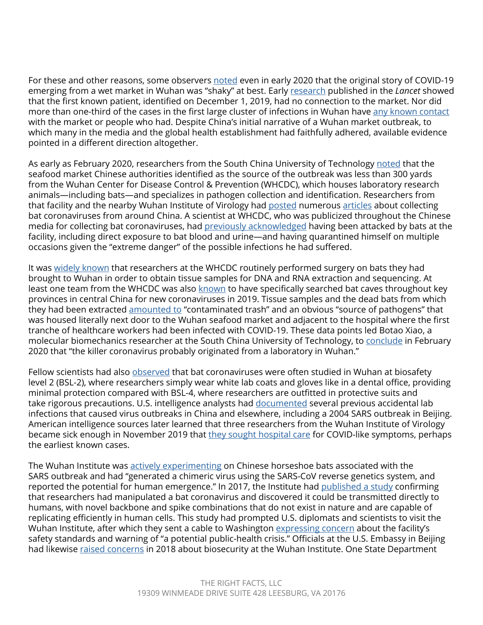For these and other reasons, some observers [noted](https://www.washingtonpost.com/opinions/global-opinions/how-did-covid-19-begin-its-initial-origin-story-is-shaky/2020/04/02/1475d488-7521-11ea-87da-77a8136c1a6d_story.html?itid=lk_inline_manual_32) even in early 2020 that the original story of COVID-19 emerging from a wet market in Wuhan was "shaky" at best. Early [research](https://www.thelancet.com/journals/lancet/article/PIIS0140-6736(20)30183-5/fulltext) published in the *Lancet* showed that the first known patient, identified on December 1, 2019, had no connection to the market. Nor did more than one-third of the cases in the first large cluster of infections in Wuhan have [any known contact](https://www.thelancet.com/journals/lancet/article/PIIS0140-6736(20)30183-5/fulltext) with the market or people who had. Despite China's initial narrative of a Wuhan market outbreak, to which many in the media and the global health establishment had faithfully adhered, available evidence pointed in a different direction altogether.

As early as February 2020, researchers from the South China University of Technology [noted](https://img-prod.tgcom24.mediaset.it/images/2020/02/16/114720192-5eb8307f-017c-4075-a697-348628da0204.pdf) that the seafood market Chinese authorities identified as the source of the outbreak was less than 300 yards from the Wuhan Center for Disease Control & Prevention (WHCDC), which houses laboratory research animals—including bats—and specializes in pathogen collection and identification. Researchers from that facility and the nearby Wuhan Institute of Virology had [posted](https://www.scientificamerican.com/article/how-chinas-bat-woman-hunted-down-viruses-from-sars-to-the-new-coronavirus1/) numerous [articles](https://journals.plos.org/plospathogens/article?id=10.1371/journal.ppat.1006698) about collecting bat coronaviruses from around China. A scientist at WHCDC, who was publicized throughout the Chinese media for collecting bat coronaviruses, had [previously acknowledged](https://img-prod.tgcom24.mediaset.it/images/2020/02/16/114720192-5eb8307f-017c-4075-a697-348628da0204.pdf) having been attacked by bats at the facility, including direct exposure to bat blood and urine—and having quarantined himself on multiple occasions given the "extreme danger" of the possible infections he had suffered.

It was [widely known](https://img-prod.tgcom24.mediaset.it/images/2020/02/16/114720192-5eb8307f-017c-4075-a697-348628da0204.pdf) that researchers at the WHCDC routinely performed surgery on bats they had brought to Wuhan in order to obtain tissue samples for DNA and RNA extraction and sequencing. At least one team from the WHCDC was also [known](https://www.washingtonpost.com/world/asia_pacific/china-covid-bats-caves-hubei/2021/10/10/082eb8b6-1c32-11ec-bea8-308ea134594f_story.html) to have specifically searched bat caves throughout key provinces in central China for new coronaviruses in 2019. Tissue samples and the dead bats from which they had been extracted [amounted to](https://img-prod.tgcom24.mediaset.it/images/2020/02/16/114720192-5eb8307f-017c-4075-a697-348628da0204.pdf) "contaminated trash" and an obvious "source of pathogens" that was housed literally next door to the Wuhan seafood market and adjacent to the hospital where the first tranche of healthcare workers had been infected with COVID-19. These data points led Botao Xiao, a molecular biomechanics researcher at the South China University of Technology, to [conclude](https://img-prod.tgcom24.mediaset.it/images/2020/02/16/114720192-5eb8307f-017c-4075-a697-348628da0204.pdf) in February 2020 that "the killer coronavirus probably originated from a laboratory in Wuhan."

Fellow scientists had also [observed](https://www.washingtonpost.com/opinions/global-opinions/how-did-covid-19-begin-its-initial-origin-story-is-shaky/2020/04/02/1475d488-7521-11ea-87da-77a8136c1a6d_story.html) that bat coronaviruses were often studied in Wuhan at biosafety level 2 (BSL-2), where researchers simply wear white lab coats and gloves like in a dental office, providing minimal protection compared with BSL-4, where researchers are outfitted in protective suits and take rigorous precautions. U.S. intelligence analysts had [documented](https://2017-2021.state.gov/fact-sheet-activity-at-the-wuhan-institute-of-virology/index.html) several previous accidental lab infections that caused virus outbreaks in China and elsewhere, including a 2004 SARS outbreak in Beijing. American intelligence sources later learned that three researchers from the Wuhan Institute of Virology became sick enough in November 2019 that [they sought hospital care](https://www.wsj.com/articles/intelligence-on-sick-staff-at-wuhan-lab-fuels-debate-on-covid-19-origin-11621796228?mod=article_inline) for COVID-like symptoms, perhaps the earliest known cases.

The Wuhan Institute was [actively experimenting](https://img-prod.tgcom24.mediaset.it/images/2020/02/16/114720192-5eb8307f-017c-4075-a697-348628da0204.pdf) on Chinese horseshoe bats associated with the SARS outbreak and had "generated a chimeric virus using the SARS-CoV reverse genetics system, and reported the potential for human emergence." In 2017, the Institute had [published a study](https://web.archive.org/web/20210606003148/https:/journals.plos.org/plospathogens/article?id=10.1371/journal.ppat.1006698) confirming that researchers had manipulated a bat coronavirus and discovered it could be transmitted directly to humans, with novel backbone and spike combinations that do not exist in nature and are capable of replicating efficiently in human cells. This study had prompted U.S. diplomats and scientists to visit the Wuhan Institute, after which they sent a cable to Washington [expressing concern](https://web.archive.org/web/20210606040127/https:/www.politico.com/news/magazine/2021/03/08/josh-rogin-chaos-under-heaven-wuhan-lab-book-excerpt-474322) about the facility's safety standards and warning of "a potential public-health crisis." Officials at the U.S. Embassy in Beijing had likewise [raised concerns](https://www.washingtonexaminer.com/news/us-officials-sounded-alarm-about-wuhan-lab-years-before-coronavirus-outbreak) in 2018 about biosecurity at the Wuhan Institute. One State Department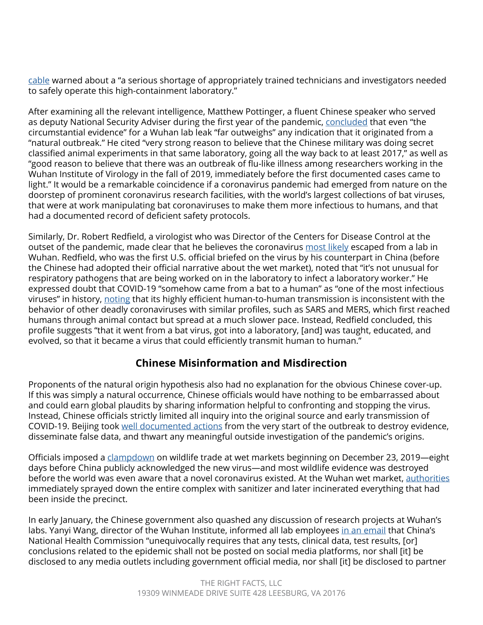[cable](https://www.washingtonpost.com/opinions/2020/04/14/state-department-cables-warned-safety-issues-wuhan-lab-studying-bat-coronaviruses/) warned about a "a serious shortage of appropriately trained technicians and investigators needed to safely operate this high-containment laboratory."

After examining all the relevant intelligence, Matthew Pottinger, a fluent Chinese speaker who served as deputy National Security Adviser during the first year of the pandemic, [concluded](https://www.cbsnews.com/news/transcript-matt-pottinger-on-face-the-nation-february-21-2021/) that even "the circumstantial evidence" for a Wuhan lab leak "far outweighs" any indication that it originated from a "natural outbreak." He cited "very strong reason to believe that the Chinese military was doing secret classified animal experiments in that same laboratory, going all the way back to at least 2017," as well as "good reason to believe that there was an outbreak of flu-like illness among researchers working in the Wuhan Institute of Virology in the fall of 2019, immediately before the first documented cases came to light." It would be a remarkable coincidence if a coronavirus pandemic had emerged from nature on the doorstep of prominent coronavirus research facilities, with the world's largest collections of bat viruses, that were at work manipulating bat coronaviruses to make them more infectious to humans, and that had a documented record of deficient safety protocols.

Similarly, Dr. Robert Redfield, a virologist who was Director of the Centers for Disease Control at the outset of the pandemic, made clear that he believes the coronavirus [most likely](https://www.cbsnews.com/news/covid-lab-theory-robert-redfield-no-evidence/) escaped from a lab in Wuhan. Redfield, who was the first U.S. official briefed on the virus by his counterpart in China (before the Chinese had adopted their official narrative about the wet market), noted that "it's not unusual for respiratory pathogens that are being worked on in the laboratory to infect a laboratory worker." He expressed doubt that COVID-19 "somehow came from a bat to a human" as "one of the most infectious viruses" in history, [noting](https://www.foxnews.com/politics/robert-redfield-cdc-covid-19-lab-leak-who-compromised) that its highly efficient human-to-human transmission is inconsistent with the behavior of other deadly coronaviruses with similar profiles, such as SARS and MERS, which first reached humans through animal contact but spread at a much slower pace. Instead, Redfield concluded, this profile suggests "that it went from a bat virus, got into a laboratory, [and] was taught, educated, and evolved, so that it became a virus that could efficiently transmit human to human."

# **Chinese Misinformation and Misdirection**

Proponents of the natural origin hypothesis also had no explanation for the obvious Chinese cover-up. If this was simply a natural occurrence, Chinese officials would have nothing to be embarrassed about and could earn global plaudits by sharing information helpful to confronting and stopping the virus. Instead, Chinese officials strictly limited all inquiry into the original source and early transmission of COVID-19. Beijing took [well documented actions](https://www.washingtonpost.com/opinions/2021/03/04/covid-trump-xi-josh-rogin/) from the very start of the outbreak to destroy evidence, disseminate false data, and thwart any meaningful outside investigation of the pandemic's origins.

Officials imposed a [clampdown](https://www.washingtonpost.com/world/asia_pacific/china-covid-bats-caves-hubei/2021/10/10/082eb8b6-1c32-11ec-bea8-308ea134594f_story.html) on wildlife trade at wet markets beginning on December 23, 2019—eight days before China publicly acknowledged the new virus—and most wildlife evidence was destroyed before the world was even aware that a novel coronavirus existed. At the Wuhan wet market, [authorities](https://apnews.com/article/united-nations-coronavirus-pandemic-china-only-on-ap-bats-24fbadc58cee3a40bca2ddf7a14d2955) immediately sprayed down the entire complex with sanitizer and later incinerated everything that had been inside the precinct.

In early January, the Chinese government also quashed any discussion of research projects at Wuhan's labs. Yanyi Wang, director of the Wuhan Institute, informed all lab employees [in an email](https://www.dailymail.co.uk/news/article-8210951/Beijing-authorities-hushed-findings-Chinese-scientist.html) that China's National Health Commission "unequivocally requires that any tests, clinical data, test results, [or] conclusions related to the epidemic shall not be posted on social media platforms, nor shall [it] be disclosed to any media outlets including government official media, nor shall [it] be disclosed to partner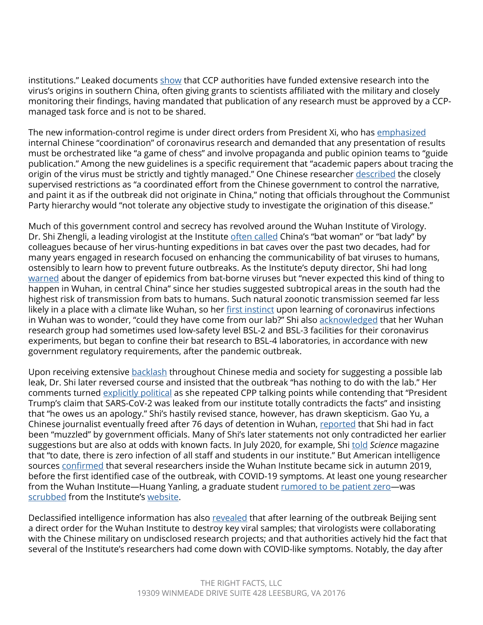institutions." Leaked documents [show](https://apnews.com/article/united-nations-coronavirus-pandemic-china-only-on-ap-bats-24fbadc58cee3a40bca2ddf7a14d2955) that CCP authorities have funded extensive research into the virus's origins in southern China, often giving grants to scientists affiliated with the military and closely monitoring their findings, having mandated that publication of any research must be approved by a CCPmanaged task force and is not to be shared.

The new information-control regime is under direct orders from President Xi, who has [emphasized](https://apnews.com/article/united-nations-coronavirus-pandemic-china-only-on-ap-bats-24fbadc58cee3a40bca2ddf7a14d2955) internal Chinese "coordination" of coronavirus research and demanded that any presentation of results must be orchestrated like "a game of chess" and involve propaganda and public opinion teams to "guide publication." Among the new guidelines is a specific requirement that "academic papers about tracing the origin of the virus must be strictly and tightly managed." One Chinese researcher [described](https://www.cnn.com/2020/04/12/asia/china-coronavirus-research-restrictions-intl-hnk/index.html) the closely supervised restrictions as "a coordinated effort from the Chinese government to control the narrative, and paint it as if the outbreak did not originate in China," noting that officials throughout the Communist Party hierarchy would "not tolerate any objective study to investigate the origination of this disease."

Much of this government control and secrecy has revolved around the Wuhan Institute of Virology. Dr. Shi Zhengli, a leading virologist at the Institute [often called](https://www.scientificamerican.com/article/how-chinas-bat-woman-hunted-down-viruses-from-sars-to-the-new-coronavirus1/) China's "bat woman" or "bat lady" by colleagues because of her virus-hunting expeditions in bat caves over the past two decades, had for many years engaged in research focused on enhancing the communicability of bat viruses to humans, ostensibly to learn how to prevent future outbreaks. As the Institute's deputy director, Shi had long [warned](https://www.forbes.com/sites/kenrapoza/2020/04/14/the-washington-post-goes-rogue-china-lab-in-focus-of-coronavirus-outbreak/?sh=6171b50c1ee1) about the danger of epidemics from bat-borne viruses but "never expected this kind of thing to happen in Wuhan, in central China" since her studies suggested subtropical areas in the south had the highest risk of transmission from bats to humans. Such natural zoonotic transmission seemed far less likely in a place with a climate like Wuhan, so her [first instinct](https://www.scientificamerican.com/article/how-chinas-bat-woman-hunted-down-viruses-from-sars-to-the-new-coronavirus1/) upon learning of coronavirus infections in Wuhan was to wonder, "could they have come from our lab?" Shi also [acknowledged](https://www.scientificamerican.com/article/how-chinas-bat-woman-hunted-down-viruses-from-sars-to-the-new-coronavirus1/) that her Wuhan research group had sometimes used low-safety level BSL-2 and BSL-3 facilities for their coronavirus experiments, but began to confine their bat research to BSL-4 laboratories, in accordance with new government regulatory requirements, after the pandemic outbreak.

Upon receiving extensive **backlash** throughout Chinese media and society for suggesting a possible lab leak, Dr. Shi later reversed course and insisted that the outbreak "has nothing to do with the lab." Her comments turned [explicitly political](https://www.washingtonpost.com/politics/2021/05/25/timeline-how-wuhan-lab-leak-theory-suddenly-became-credible/) as she repeated CPP talking points while contending that "President Trump's claim that SARS-CoV-2 was leaked from our institute totally contradicts the facts" and insisting that "he owes us an apology." Shi's hastily revised stance, however, has drawn skepticism. Gao Yu, a Chinese journalist eventually freed after 76 days of detention in Wuhan, [reported](https://www.dailymail.co.uk/news/article-8210951/Beijing-authorities-hushed-findings-Chinese-scientist.html) that Shi had in fact been "muzzled" by government officials. Many of Shi's later statements not only contradicted her earlier suggestions but are also at odds with known facts. In July 2020, for example, Shi [told](https://www.science.org/doi/10.1126/science.369.6503.487) *Science* magazine that "to date, there is zero infection of all staff and students in our institute." But American intelligence sources [confirmed](https://2017-2021.state.gov/fact-sheet-activity-at-the-wuhan-institute-of-virology/index.html) that several researchers inside the Wuhan Institute became sick in autumn 2019, before the first identified case of the outbreak, with COVID-19 symptoms. At least one young researcher from the Wuhan Institute—Huang Yanling, a graduate student [rumored to be patient zero—](https://www.upi.com/Top_News/World-News/2020/02/18/WHO-confirms-experts-presence-at-coronavirus-epicenter-in-China/8271582041808/)was [scrubbed](https://www.forbes.com/sites/kenrapoza/2020/04/14/the-washington-post-goes-rogue-china-lab-in-focus-of-coronavirus-outbreak/?sh=6171b50c1ee1) from the Institute's [website](http://english.whiov.cas.cn/).

Declassified intelligence information has also [revealed](https://www.cbsnews.com/news/covid-19-wuhan-origins-60-minutes-2021-03-28/) that after learning of the outbreak Beijing sent a direct order for the Wuhan Institute to destroy key viral samples; that virologists were collaborating with the Chinese military on undisclosed research projects; and that authorities actively hid the fact that several of the Institute's researchers had come down with COVID-like symptoms. Notably, the day after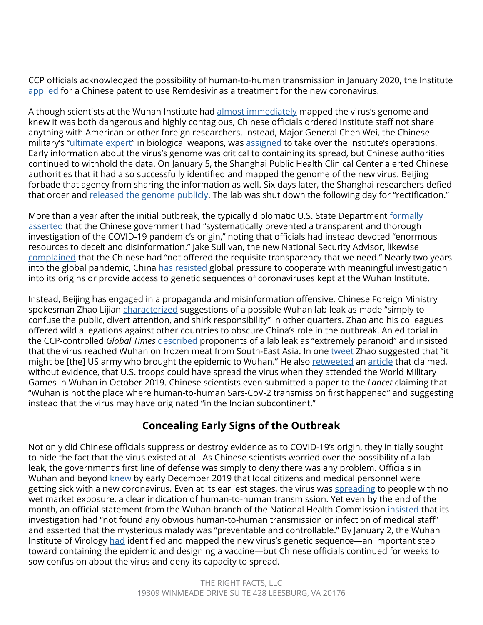CCP officials acknowledged the possibility of human-to-human transmission in January 2020, the Institute [applied](https://www.biospace.com/article/china-s-wuhan-institute-files-to-patent-the-use-of-gilead-s-remdesivir-for-coronavirus/) for a Chinese patent to use Remdesivir as a treatment for the new coronavirus.

Although scientists at the Wuhan Institute had [almost immediately](https://www.washingtonpost.com/opinions/2021/03/04/covid-trump-xi-josh-rogin/) mapped the virus's genome and knew it was both dangerous and highly contagious, Chinese officials ordered Institute staff not share anything with American or other foreign researchers. Instead, Major General Chen Wei, the Chinese military's ["ultimate expert](https://www.washingtontimes.com/news/2020/feb/16/chinese-maj-gen-chen-wei-takes-leading-role-in-cor/)" in biological weapons, was [assigned](https://www.scmp.com/news/china/military/article/3064677/meet-major-general-chinas-coronavirus-scientific-front-line) to take over the Institute's operations. Early information about the virus's genome was critical to containing its spread, but Chinese authorities continued to withhold the data. On January 5, the Shanghai Public Health Clinical Center alerted Chinese authorities that it had also successfully identified and mapped the genome of the new virus. Beijing forbade that agency from sharing the information as well. Six days later, the Shanghai researchers defied that order and [released the genome publicly.](https://www.scmp.com/news/china/society/article/3052966/chinese-laboratory-first-shared-coronavirus-genome-world-ordered) The lab was shut down the following day for "rectification."

More than a year after the initial outbreak, the typically diplomatic U.S. State Department formally [asserted](https://2017-2021.state.gov/fact-sheet-activity-at-the-wuhan-institute-of-virology/index.html) that the Chinese government had "systematically prevented a transparent and thorough investigation of the COVID-19 pandemic's origin," noting that officials had instead devoted "enormous resources to deceit and disinformation." Jake Sullivan, the new National Security Advisor, likewise [complained](https://www.scmp.com/news/china/diplomacy/article/3121690/china-hits-back-us-over-who-coronavirus-mission) that the Chinese had "not offered the requisite transparency that we need." Nearly two years into the global pandemic, China [has resisted](https://apnews.com/article/coronavirus-pandemic-joe-biden-science-health-china-2fe4518ac7aef9b54ea4329385d121c4?utm_source=newsletter&utm_medium=email&utm_campaign=newsletter_axiospm&stream=top) global pressure to cooperate with meaningful investigation into its origins or provide access to genetic sequences of coronaviruses kept at the Wuhan Institute.

Instead, Beijing has engaged in a propaganda and misinformation offensive. Chinese Foreign Ministry spokesman Zhao Lijian [characterized](https://abcnews.go.com/Technology/wireStory/trump-aides-float-outlier-theory-origins-coronavirus-70193245) suggestions of a possible Wuhan lab leak as made "simply to confuse the public, divert attention, and shirk responsibility" in other quarters. Zhao and his colleagues offered wild allegations against other countries to obscure China's role in the outbreak. An editorial in the CCP-controlled *Global Times* [described](https://www.bbc.com/news/world-asia-china-57268111) proponents of a lab leak as "extremely paranoid" and insisted that the virus reached Wuhan on frozen meat from South-East Asia. In one [tweet](https://twitter.com/zlj517/status/1238111898828066823) Zhao suggested that "it might be [the] US army who brought the epidemic to Wuhan." He also [retweeted](https://twitter.com/zlj517/status/1238269193427906560) an [article](https://www.globalresearch.ca/covid-19-further-evidence-virus-originated-us/5706078) that claimed, without evidence, that U.S. troops could have spread the virus when they attended the World Military Games in Wuhan in October 2019. Chinese scientists even submitted a paper to the *Lancet* claiming that "Wuhan is not the place where human-to-human Sars-CoV-2 transmission first happened" and suggesting instead that the virus may have originated "in the Indian subcontinent."

# **Concealing Early Signs of the Outbreak**

Not only did Chinese officials suppress or destroy evidence as to COVID-19's origin, they initially sought to hide the fact that the virus existed at all. As Chinese scientists worried over the possibility of a lab leak, the government's first line of defense was simply to deny there was any problem. Officials in Wuhan and beyond [knew](https://www.nytimes.com/2020/02/01/world/asia/china-coronavirus.html) by early December 2019 that local citizens and medical personnel were getting sick with a new coronavirus. Even at its earliest stages, the virus was [spreading](https://www.wsj.com/articles/how-it-all-started-chinas-early-coronavirus-missteps-11583508932) to people with no wet market exposure, a clear indication of human-to-human transmission. Yet even by the end of the month, an official statement from the Wuhan branch of the National Health Commission [insisted](https://www.wsj.com/articles/how-it-all-started-chinas-early-coronavirus-missteps-11583508932) that its investigation had "not found any obvious human-to-human transmission or infection of medical staff" and asserted that the mysterious malady was "preventable and controllable." By January 2, the Wuhan Institute of Virology [had](https://www.wsj.com/articles/how-it-all-started-chinas-early-coronavirus-missteps-11583508932) identified and mapped the new virus's genetic sequence—an important step toward containing the epidemic and designing a vaccine—but Chinese officials continued for weeks to sow confusion about the virus and deny its capacity to spread.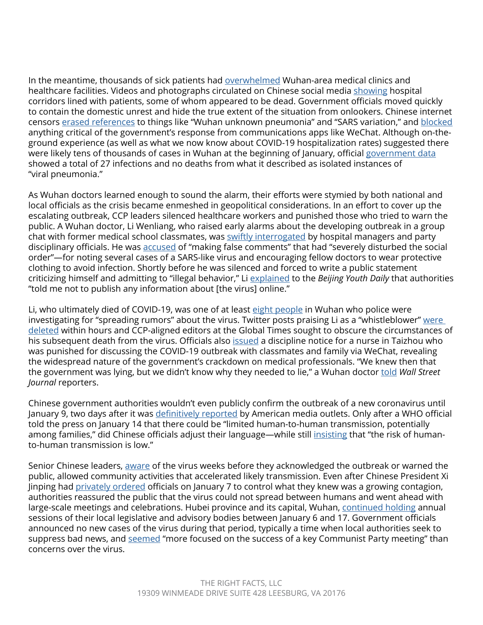In the meantime, thousands of sick patients had [overwhelmed](https://www.nytimes.com/2020/01/27/world/asia/27china-coronavirus-health.html) Wuhan-area medical clinics and healthcare facilities. Videos and photographs circulated on Chinese social media [showing](https://www.nytimes.com/2020/01/25/world/asia/china-coronavirus-photos.html) hospital corridors lined with patients, some of whom appeared to be dead. Government officials moved quickly to contain the domestic unrest and hide the true extent of the situation from onlookers. Chinese internet censors [erased references](https://www.washingtonpost.com/opinions/2021/03/04/covid-trump-xi-josh-rogin/) to things like "Wuhan unknown pneumonia" and "SARS variation," and [blocked](https://www.bbc.com/news/world-asia-china-51732042) anything critical of the government's response from communications apps like WeChat. Although on-theground experience (as well as what we now know about COVID-19 hospitalization rates) suggested there were likely tens of thousands of cases in Wuhan at the beginning of January, official [government data](https://www.reuters.com/article/us-china-health-pneumonia/chinese-officials-investigate-cause-of-pneumonia-outbreak-in-wuhan-idUSKBN1YZ0GP) showed a total of 27 infections and no deaths from what it described as isolated instances of "viral pneumonia."

As Wuhan doctors learned enough to sound the alarm, their efforts were stymied by both national and local officials as the crisis became enmeshed in geopolitical considerations. In an effort to cover up the escalating outbreak, CCP leaders silenced healthcare workers and punished those who tried to warn the public. A Wuhan doctor, Li Wenliang, who raised early alarms about the developing outbreak in a group chat with former medical school classmates, was [swiftly interrogated](https://www.wsj.com/articles/chinese-doctor-who-issued-early-warning-on-virus-dies-11581019816?mod=hp_lead_pos7&mod=article_inline) by hospital managers and party disciplinary officials. He was [accused](https://www.bbc.com/news/world-asia-china-51403795) of "making false comments" that had "severely disturbed the social order"—for noting several cases of a SARS-like virus and encouraging fellow doctors to wear protective clothing to avoid infection. Shortly before he was silenced and forced to write a public statement criticizing himself and admitting to "illegal behavior," Li [explained](https://www.wsj.com/articles/chinese-doctor-who-issued-early-warning-on-virus-dies-11581019816?mod=hp_lead_pos7&mod=article_inline) to the *Beijing Youth Daily* that authorities "told me not to publish any information about [the virus] online."

Li, who ultimately died of COVID-19, was one of at least [eight people](https://www.bbc.com/news/world-asia-china-51403795) in Wuhan who police were investigating for "spreading rumors" about the virus. Twitter posts praising Li as a "whistleblower" were [deleted](https://www.wsj.com/articles/chinese-doctor-who-issued-early-warning-on-virus-dies-11581019816?mod=hp_lead_pos7&mod=article_inline) within hours and CCP-aligned editors at the Global Times sought to obscure the circumstances of his subsequent death from the virus. Officials also [issued](http://hsdl.org/?view&did=846088) a discipline notice for a nurse in Taizhou who was punished for discussing the COVID-19 outbreak with classmates and family via WeChat, revealing the widespread nature of the government's crackdown on medical professionals. "We knew then that the government was lying, but we didn't know why they needed to lie," a Wuhan doctor [told](https://www.wsj.com/articles/how-it-all-started-chinas-early-coronavirus-missteps-11583508932) *Wall Street Journal* reporters.

Chinese government authorities wouldn't even publicly confirm the outbreak of a new coronavirus until January 9, two days after it was [definitively reported](https://www.wsj.com/articles/new-virus-discovered-by-chinese-scientists-investigating-pneumonia-outbreak-11578485668?mod=article_inline) by American media outlets. Only after a WHO official told the press on January 14 that there could be "limited human-to-human transmission, potentially among families," did Chinese officials adjust their language—while still [insisting](https://www.wsj.com/articles/how-it-all-started-chinas-early-coronavirus-missteps-11583508932) that "the risk of humanto-human transmission is low."

Senior Chinese leaders, [aware](https://apnews.com/article/virus-outbreak-health-ap-top-news-international-news-china-clamps-down-68a9e1b91de4ffc166acd6012d82c2f9) of the virus weeks before they acknowledged the outbreak or warned the public, allowed community activities that accelerated likely transmission. Even after Chinese President Xi Jinping had [privately ordered](https://www.wsj.com/articles/how-it-all-started-chinas-early-coronavirus-missteps-11583508932) officials on January 7 to control what they knew was a growing contagion, authorities reassured the public that the virus could not spread between humans and went ahead with large-scale meetings and celebrations. Hubei province and its capital, Wuhan, [continued holding](https://www.wsj.com/articles/how-it-all-started-chinas-early-coronavirus-missteps-11583508932) annual sessions of their local legislative and advisory bodies between January 6 and 17. Government officials announced no new cases of the virus during that period, typically a time when local authorities seek to suppress bad news, and [seemed](https://www.dailymail.co.uk/news/article-8210951/Beijing-authorities-hushed-findings-Chinese-scientist.html) "more focused on the success of a key Communist Party meeting" than concerns over the virus.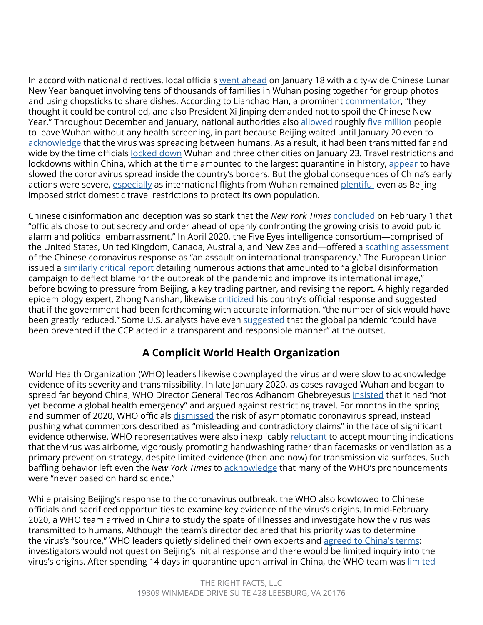In accord with national directives, local officials [went ahead](https://www.wsj.com/articles/china-contends-with-questions-over-response-to-viral-outbreak-11579825832?mod=article_inline) on January 18 with a city-wide Chinese Lunar New Year banquet involving tens of thousands of families in Wuhan posing together for group photos and using chopsticks to share dishes. According to Lianchao Han, a prominent [commentator](https://www.dailymail.co.uk/news/article-8210951/Beijing-authorities-hushed-findings-Chinese-scientist.html), "they thought it could be controlled, and also President Xi Jinping demanded not to spoil the Chinese New Year." Throughout December and January, national authorities also [allowed](https://www.scmp.com/news/china/society/article/3047720/chinese-premier-li-keqiang-head-coronavirus-crisis-team-outbreak) roughly [five million](https://www.chinadaily.com.cn/a/202001/27/WS5e2dcd01a310128217273551.html) people to leave Wuhan without any health screening, in part because Beijing waited until January 20 even to [acknowledge](https://www.bbc.com/news/world-52573137) that the virus was spreading between humans. As a result, it had been transmitted far and wide by the time officials [locked down](https://www.bbc.com/news/world-52573137) Wuhan and three other cities on January 23. Travel restrictions and lockdowns within China, which at the time amounted to the largest quarantine in history, [appear](https://www.tandfonline.com/doi/full/10.1080/22221751.2020.1760143) to have slowed the coronavirus spread inside the country's borders. But the global consequences of China's early actions were severe, [especially](https://economictimes.indiatimes.com/blogs/Whathappensif/how-china-locked-down-internally-for-covid-19-but-pushed-foreign-travel/) as international flights from Wuhan remained [plentiful](https://www.nytimes.com/2020/04/04/us/coronavirus-china-travel-restrictions.html) even as Beijing imposed strict domestic travel restrictions to protect its own population.

Chinese disinformation and deception was so stark that the *New York Times* [concluded](https://www.nytimes.com/2020/02/01/world/asia/china-coronavirus.html) on February 1 that "officials chose to put secrecy and order ahead of openly confronting the growing crisis to avoid public alarm and political embarrassment." In April 2020, the Five Eyes intelligence consortium—comprised of the United States, United Kingdom, Canada, Australia, and New Zealand—offered a [scathing assessment](https://www.reuters.com/article/health-coronavirus-britain-china-fiveyes/uk-refuses-to-comment-on-intelligence-dossier-on-chinas-coronavirus-response-idUSS8N2C502J) of the Chinese coronavirus response as "an assault on international transparency." The European Union issued a [similarly critical report](https://www.nytimes.com/2020/04/24/world/europe/disinformation-china-eu-coronavirus.html) detailing numerous actions that amounted to "a global disinformation campaign to deflect blame for the outbreak of the pandemic and improve its international image," before bowing to pressure from Beijing, a key trading partner, and revising the report. A highly regarded epidemiology expert, Zhong Nanshan, likewise [criticized](https://www.wsj.com/articles/how-it-all-started-chinas-early-coronavirus-missteps-11583508932) his country's official response and suggested that if the government had been forthcoming with accurate information, "the number of sick would have been greatly reduced." Some U.S. analysts have even [suggested](http://hsdl.org/?view&did=846088) that the global pandemic "could have been prevented if the CCP acted in a transparent and responsible manner" at the outset.

# **A Complicit World Health Organization**

World Health Organization (WHO) leaders likewise downplayed the virus and were slow to acknowledge evidence of its severity and transmissibility. In late January 2020, as cases ravaged Wuhan and began to spread far beyond China, WHO Director General Tedros Adhanom Ghebreyesus [insisted](https://www.nytimes.com/2020/01/23/health/china-virus-who-emergency.html) that it had "not yet become a global health emergency" and argued against restricting travel. For months in the spring and summer of 2020, WHO officials [dismissed](https://www.nytimes.com/2020/06/27/world/europe/coronavirus-spread-asymptomatic.html?action=click&module=Spotlight&pgtype=Homepage) the risk of asymptomatic coronavirus spread, instead pushing what commentors described as "misleading and contradictory claims" in the face of significant evidence otherwise. WHO representatives were also inexplicably [reluctant](https://www.nytimes.com/2020/07/04/health/239-experts-with-one-big-claim-the-coronavirus-is-airborne.html) to accept mounting indications that the virus was airborne, vigorously promoting handwashing rather than facemasks or ventilation as a primary prevention strategy, despite limited evidence (then and now) for transmission via surfaces. Such baffling behavior left even the *New York Times* to [acknowledge](https://www.nytimes.com/2020/09/30/world/europe/ski-party-pandemic-travel-coronavirus.html?referringSource=articleShare) that many of the WHO's pronouncements were "never based on hard science."

While praising Beijing's response to the coronavirus outbreak, the WHO also kowtowed to Chinese officials and sacrificed opportunities to examine key evidence of the virus's origins. In mid-February 2020, a WHO team arrived in China to study the spate of illnesses and investigate how the virus was transmitted to humans. Although the team's director declared that his priority was to determine the virus's "source," WHO leaders quietly sidelined their own experts and [agreed to China's terms:](https://www.nytimes.com/2020/11/02/world/who-china-coronavirus.html) investigators would not question Beijing's initial response and there would be limited inquiry into the virus's origins. After spending 14 days in quarantine upon arrival in China, the WHO team was [limited](https://www.washingtonpost.com/world/asia_pacific/coronavirus-who-china-investigation-wuhan/2021/02/09/2af3c44c-6a79-11eb-a66e-e27046e9e898_story.html)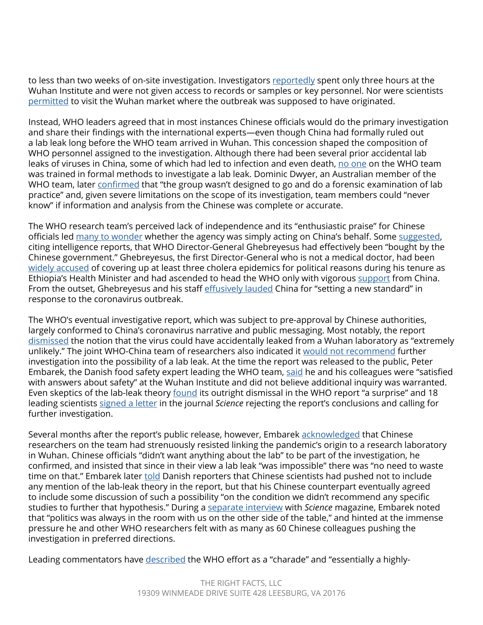to less than two weeks of on-site investigation. Investigators [reportedly](https://www.cbsnews.com/news/covid-19-wuhan-origins-60-minutes-2021-03-28/) spent only three hours at the Wuhan Institute and were not given access to records or samples or key personnel. Nor were scientists [permitted](https://www.nytimes.com/2020/11/02/world/who-china-coronavirus.html) to visit the Wuhan market where the outbreak was supposed to have originated.

Instead, WHO leaders agreed that in most instances Chinese officials would do the primary investigation and share their findings with the international experts—even though China had formally ruled out a lab leak long before the WHO team arrived in Wuhan. This concession shaped the composition of WHO personnel assigned to the investigation. Although there had been several prior accidental lab leaks of viruses in China, some of which had led to infection and even death, [no one](https://www.cbsnews.com/news/covid-19-wuhan-origins-60-minutes-2021-03-28/) on the WHO team was trained in formal methods to investigate a lab leak. Dominic Dwyer, an Australian member of the WHO team, later [confirmed](https://www.nature.com/articles/d41586-021-00375-7) that "the group wasn't designed to go and do a forensic examination of lab practice" and, given severe limitations on the scope of its investigation, team members could "never know" if information and analysis from the Chinese was complete or accurate.

The WHO research team's perceived lack of independence and its "enthusiastic praise" for Chinese officials led [many to wonder](https://www.washingtonpost.com/world/asia_pacific/coronavirus-who-china-investigation-wuhan/2021/02/09/2af3c44c-6a79-11eb-a66e-e27046e9e898_story.html) whether the agency was simply acting on China's behalf. Some [suggested](https://www.businessinsider.com/mike-pompeo-who-workd-health-organisation-tedros-china-2020-7), citing intelligence reports, that WHO Director-General Ghebreyesus had effectively been "bought by the Chinese government." Ghebreyesus, the first Director-General who is not a medical doctor, had been [widely accused](https://www.nytimes.com/2017/05/13/health/candidate-who-director-general-ethiopia-cholera-outbreaks.html) of covering up at least three cholera epidemics for political reasons during his tenure as Ethiopia's Health Minister and had ascended to head the WHO only with vigorous [support](https://www.cfr.org/blog/who-and-china-dereliction-duty) from China. From the outset, Ghebreyesus and his staff [effusively lauded](https://khn.org/morning-breakout/who-effusively-praises-china-for-setting-a-new-standard-in-outbreak-response-critics-beg-to-differ/) China for "setting a new standard" in response to the coronavirus outbreak.

The WHO's eventual investigative report, which was subject to pre-approval by Chinese authorities, largely conformed to China's coronavirus narrative and public messaging. Most notably, the report [dismissed](https://www.washingtonpost.com/world/asia_pacific/coronavirus-who-china-investigation-wuhan/2021/02/09/2af3c44c-6a79-11eb-a66e-e27046e9e898_story.html) the notion that the virus could have accidentally leaked from a Wuhan laboratory as "extremely unlikely." The joint WHO-China team of researchers also indicated it [would not recommend](https://www.washingtonpost.com/world/asia_pacific/coronavirus-who-china-investigation-wuhan/2021/02/09/2af3c44c-6a79-11eb-a66e-e27046e9e898_story.html) further investigation into the possibility of a lab leak. At the time the report was released to the public, Peter Embarek, the Danish food safety expert leading the WHO team, [said](https://www.washingtonpost.com/world/asia_pacific/coronavirus-who-china-investigation-wuhan/2021/02/09/2af3c44c-6a79-11eb-a66e-e27046e9e898_story.html) he and his colleagues were "satisfied with answers about safety" at the Wuhan Institute and did not believe additional inquiry was warranted. Even skeptics of the lab-leak theory [found](https://www.washingtonpost.com/world/2021/08/12/who-origins-embarek/) its outright dismissal in the WHO report "a surprise" and 18 leading scientists [signed a letter](https://www.newsweek.com/18-scientists-including-one-who-worked-wuhan-lab-say-covid-lab-leak-theory-needs-study-1591649) in the journal *Science* rejecting the report's conclusions and calling for further investigation.

Several months after the report's public release, however, Embarek [acknowledged](https://www.washingtonpost.com/world/2021/08/12/who-origins-embarek/) that Chinese researchers on the team had strenuously resisted linking the pandemic's origin to a research laboratory in Wuhan. Chinese officials "didn't want anything about the lab" to be part of the investigation, he confirmed, and insisted that since in their view a lab leak "was impossible" there was "no need to waste time on that." Embarek later [told](https://www.washingtonpost.com/world/2021/08/12/who-origins-embarek/) Danish reporters that Chinese scientists had pushed not to include any mention of the lab-leak theory in the report, but that his Chinese counterpart eventually agreed to include some discussion of such a possibility "on the condition we didn't recommend any specific studies to further that hypothesis." During a [separate interview](https://www.science.org/content/article/politics-was-always-room-who-mission-chief-reflects-china-trip-seeking-covid-19-s) with *Science* magazine, Embarek noted that "politics was always in the room with us on the other side of the table," and hinted at the immense pressure he and other WHO researchers felt with as many as 60 Chinese colleagues pushing the investigation in preferred directions.

Leading commentators have [described](https://www.cbsnews.com/news/covid-19-wuhan-origins-60-minutes-2021-03-28/) the WHO effort as a "charade" and "essentially a highly-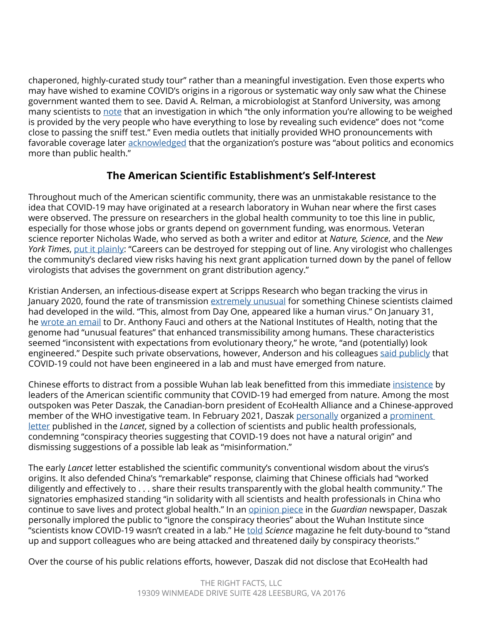chaperoned, highly-curated study tour" rather than a meaningful investigation. Even those experts who may have wished to examine COVID's origins in a rigorous or systematic way only saw what the Chinese government wanted them to see. David A. Relman, a microbiologist at Stanford University, was among many scientists to [note](https://www.washingtonpost.com/world/asia_pacific/coronavirus-who-china-investigation-wuhan/2021/02/09/2af3c44c-6a79-11eb-a66e-e27046e9e898_story.html) that an investigation in which "the only information you're allowing to be weighed is provided by the very people who have everything to lose by revealing such evidence" does not "come close to passing the sniff test." Even media outlets that initially provided WHO pronouncements with favorable coverage later **[acknowledged](https://www.nytimes.com/2020/09/30/world/europe/ski-party-pandemic-travel-coronavirus.html?referringSource=articleShare)** that the organization's posture was "about politics and economics more than public health."

# **The American Scientific Establishment's Self-Interest**

Throughout much of the American scientific community, there was an unmistakable resistance to the idea that COVID-19 may have originated at a research laboratory in Wuhan near where the first cases were observed. The pressure on researchers in the global health community to toe this line in public, especially for those whose jobs or grants depend on government funding, was enormous. Veteran science reporter Nicholas Wade, who served as both a writer and editor at *Nature, Science*, and the *New York Times*, [put it plainly](https://thebulletin.org/2021/05/the-origin-of-covid-did-people-or-nature-open-pandoras-box-at-wuhan/): "Careers can be destroyed for stepping out of line. Any virologist who challenges the community's declared view risks having his next grant application turned down by the panel of fellow virologists that advises the government on grant distribution agency."

Kristian Andersen, an infectious-disease expert at Scripps Research who began tracking the virus in January 2020, found the rate of transmission [extremely unusual](https://www.newyorker.com/science/elements/the-mysterious-case-of-the-covid-19-lab-leak-theory) for something Chinese scientists claimed had developed in the wild. "This, almost from Day One, appeared like a human virus." On January 31, he [wrote an email](https://www.newsweek.com/fauci-emails-experts-covid-could-look-engineered-1596738) to Dr. Anthony Fauci and others at the National Institutes of Health, noting that the genome had "unusual features" that enhanced transmissibility among humans. These characteristics seemed "inconsistent with expectations from evolutionary theory," he wrote, "and (potentially) look engineered." Despite such private observations, however, Anderson and his colleagues [said publicly](https://www.wsj.com/articles/fauci-email-bolsters-the-lab-leak-theory-11622830092) that COVID-19 could not have been engineered in a lab and must have emerged from nature.

Chinese efforts to distract from a possible Wuhan lab leak benefitted from this immediate [insistence](https://www.city-journal.org/on-covid-19-origins-elites-followed-politics-not-science?wallit_nosession=1) by leaders of the American scientific community that COVID-19 had emerged from nature. Among the most outspoken was Peter Daszak, the Canadian-born president of EcoHealth Alliance and a Chinese-approved member of the WHO investigative team. In February 2021, Daszak [personally](https://usrtk.org/wp-content/uploads/2020/11/The_Lancet_Emails_Daszak-2.6.20.pdf) organized a prominent [letter](https://www.thelancet.com/journals/lancet/article/PIIS0140-6736(20)30418-9/fulltext) published in the *Lancet*, signed by a collection of scientists and public health professionals, condemning "conspiracy theories suggesting that COVID-19 does not have a natural origin" and dismissing suggestions of a possible lab leak as "misinformation."

The early *Lancet* letter established the scientific community's conventional wisdom about the virus's origins. It also defended China's "remarkable" response, claiming that Chinese officials had "worked diligently and effectively to . . . share their results transparently with the global health community." The signatories emphasized standing "in solidarity with all scientists and health professionals in China who continue to save lives and protect global health." In an [opinion piece](https://www.theguardian.com/commentisfree/2020/jun/09/conspiracies-covid-19-lab-false-pandemic) in the *Guardian* newspaper, Daszak personally implored the public to "ignore the conspiracy theories" about the Wuhan Institute since "scientists know COVID-19 wasn't created in a lab." He [told](https://www.science.org/content/article/scientists-strongly-condemn-rumors-and-conspiracy-theories-about-origin-coronavirus) *Science* magazine he felt duty-bound to "stand up and support colleagues who are being attacked and threatened daily by conspiracy theorists."

Over the course of his public relations efforts, however, Daszak did not disclose that EcoHealth had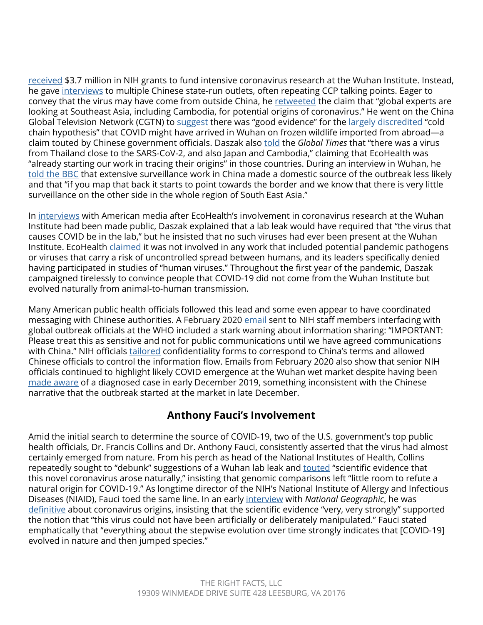[received](https://taggs.hhs.gov/Detail/AwardDetail?arg_AwardNum=R01AI110964&arg_ProgOfficeCode=104) \$3.7 million in NIH grants to fund intensive coronavirus research at the Wuhan Institute. Instead, he gave [interviews](https://twitter.com/WorldInsight_TW/status/1359207627507462150?s=20) to multiple Chinese state-run outlets, often repeating CCP talking points. Eager to convey that the virus may have come from outside China, he [retweeted](https://twitter.com/globaltimesnews/status/1359156331769430028?s=20) the claim that "global experts are looking at Southeast Asia, including Cambodia, for potential origins of coronavirus." He went on the China Global Television Network (CGTN) to [suggest](https://twitter.com/tianwei/status/1359437247771119617?s=20) there was "good evidence" for the [largely discredited](https://www.nature.com/articles/d41586-021-00495-0) "cold chain hypothesis" that COVID might have arrived in Wuhan on frozen wildlife imported from abroad—a claim touted by Chinese government officials. Daszak also [told](https://www.globaltimes.cn/page/202102/1215460.shtml) the *Global Times* that "there was a virus from Thailand close to the SARS-CoV-2, and also Japan and Cambodia," claiming that EcoHealth was "already starting our work in tracing their origins" in those countries. During an interview in Wuhan, he [told the BBC](https://www.bbc.com/news/world-asia-china-55996728) that extensive surveillance work in China made a domestic source of the outbreak less likely and that "if you map that back it starts to point towards the border and we know that there is very little surveillance on the other side in the whole region of South East Asia."

In [interviews](https://www.cbsnews.com/news/covid-19-wuhan-origins-60-minutes-2021-03-28/) with American media after EcoHealth's involvement in coronavirus research at the Wuhan Institute had been made public, Daszak explained that a lab leak would have required that "the virus that causes COVID be in the lab," but he insisted that no such viruses had ever been present at the Wuhan Institute. EcoHealth [claimed](https://theintercept.com/2021/10/21/virus-mers-wuhan-experiments/) it was not involved in any work that included potential pandemic pathogens or viruses that carry a risk of uncontrolled spread between humans, and its leaders specifically denied having participated in studies of "human viruses." Throughout the first year of the pandemic, Daszak campaigned tirelessly to convince people that COVID-19 did not come from the Wuhan Institute but evolved naturally from animal-to-human transmission.

Many American public health officials followed this lead and some even appear to have coordinated messaging with Chinese authorities. A February 2020 [email](https://www.judicialwatch.org/wp-content/uploads/2021/03/DCNF-v-HHS-Nov-2020-00149.pdf) sent to NIH staff members interfacing with global outbreak officials at the WHO included a stark warning about information sharing: "IMPORTANT: Please treat this as sensitive and not for public communications until we have agreed communications with China." NIH officials [tailored](https://www.judicialwatch.org/wp-content/uploads/2021/02/DCNF-v-HHS-Nov-2020-00149-pg-161.pdf) confidentiality forms to correspond to China's terms and allowed Chinese officials to control the information flow. Emails from February 2020 also show that senior NIH officials continued to highlight likely COVID emergence at the Wuhan wet market despite having been [made aware](https://www.judicialwatch.org/wp-content/uploads/2021/02/DCNF-v-HHS-Nov-2020-00149-pgs-194-196.pdf) of a diagnosed case in early December 2019, something inconsistent with the Chinese narrative that the outbreak started at the market in late December.

# **Anthony Fauci's Involvement**

Amid the initial search to determine the source of COVID-19, two of the U.S. government's top public health officials, Dr. Francis Collins and Dr. Anthony Fauci, consistently asserted that the virus had almost certainly emerged from nature. From his perch as head of the National Institutes of Health, Collins repeatedly sought to "debunk" suggestions of a Wuhan lab leak and <u>[touted](https://directorsblog.nih.gov/2020/03/26/genomic-research-points-to-natural-origin-of-covid-19/)</u> "scientific evidence that this novel coronavirus arose naturally," insisting that genomic comparisons left "little room to refute a natural origin for COVID-19." As longtime director of the NIH's National Institute of Allergy and Infectious Diseases (NIAID), Fauci toed the same line. In an early [interview](https://www.nationalgeographic.com/science/article/anthony-fauci-no-scientific-evidence-the-coronavirus-was-made-in-a-chinese-lab-cvd) with *National Geographic*, he was [definitive](https://www.cnn.com/2020/05/05/politics/fauci-trump-coronavirus-wuhan-lab/index.html) about coronavirus origins, insisting that the scientific evidence "very, very strongly" supported the notion that "this virus could not have been artificially or deliberately manipulated." Fauci stated emphatically that "everything about the stepwise evolution over time strongly indicates that [COVID-19] evolved in nature and then jumped species."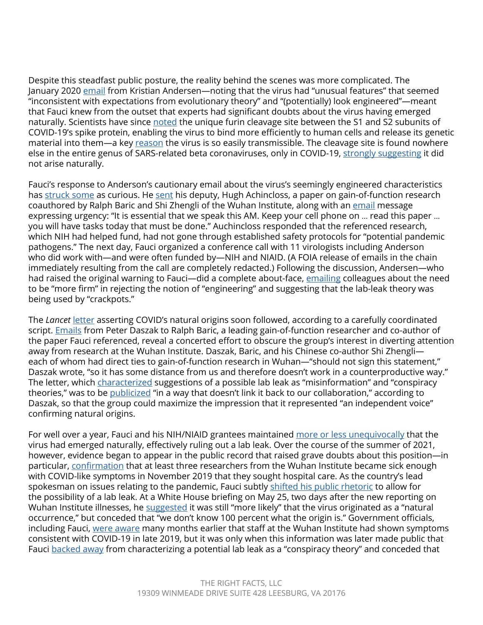Despite this steadfast public posture, the reality behind the scenes was more complicated. The January 2020 [email](https://www.newsweek.com/fauci-emails-experts-covid-could-look-engineered-1596738) from Kristian Andersen-noting that the virus had "unusual features" that seemed "inconsistent with expectations from evolutionary theory" and "(potentially) look engineered"—meant that Fauci knew from the outset that experts had significant doubts about the virus having emerged naturally. Scientists have since [noted](https://www.city-journal.org/new-evidence-for-lab-leak-hypothesis-of-covid-origins?wallit_nosession=1) the unique furin cleavage site between the S1 and S2 subunits of COVID-19's spike protein, enabling the virus to bind more efficiently to human cells and release its genetic material into them—a key [reason](https://www.nature.com/articles/s41564-021-00908-w) the virus is so easily transmissible. The cleavage site is found nowhere else in the entire genus of SARS-related beta coronaviruses, only in COVID-19, [strongly suggesting](https://www.city-journal.org/new-evidence-for-lab-leak-hypothesis-of-covid-origins?wallit_nosession=1) it did not arise naturally.

Fauci's response to Anderson's cautionary email about the virus's seemingly engineered characteristics has [struck some](https://www.foxnews.com/politics/fauci-emails-backlash) as curious. He [sent](https://www.documentcloud.org/documents/20793561-leopold-nih-foia-anthony-fauci-emails) his deputy, Hugh Achincloss, a paper on gain-of-function research coauthored by Ralph Baric and Shi Zhengli of the Wuhan Institute, along with an [email](https://www.dailysignal.com/2021/06/02/11-takeaways-from-faucis-emails-about-covid-19/) message expressing urgency: "It is essential that we speak this AM. Keep your cell phone on … read this paper … you will have tasks today that must be done." Auchincloss responded that the referenced research, which NIH had helped fund, had not gone through established safety protocols for "potential pandemic pathogens." The next day, Fauci organized a conference call with 11 virologists including Anderson who did work with—and were often funded by—NIH and NIAID. (A FOIA release of emails in the chain immediately resulting from the call are completely redacted.) Following the discussion, Andersen—who had raised the original warning to Fauci—did a complete about-face, [emailing](https://www.documentcloud.org/documents/20793561-leopold-nih-foia-anthony-fauci-emails) colleagues about the need to be "more firm" in rejecting the notion of "engineering" and suggesting that the lab-leak theory was being used by "crackpots."

The *Lancet* [letter](https://www.thelancet.com/journals/lancet/article/PIIS0140-6736(20)30418-9/fulltext) asserting COVID's natural origins soon followed, according to a carefully coordinated script. **[Emails](https://www.documentcloud.org/documents/20793561-leopold-nih-foia-anthony-fauci-emails) from Peter Daszak to Ralph Baric**, a leading gain-of-function researcher and co-author of the paper Fauci referenced, reveal a concerted effort to obscure the group's interest in diverting attention away from research at the Wuhan Institute. Daszak, Baric, and his Chinese co-author Shi Zhengli each of whom had direct ties to gain-of-function research in Wuhan—"should not sign this statement," Daszak wrote, "so it has some distance from us and therefore doesn't work in a counterproductive way." The letter, which [characterized suggestions](https://www.thelancet.com/journals/lancet/article/PIIS0140-6736(20)30418-9/fulltext) of a possible lab leak as "misinformation" and "conspiracy theories," was to be [publicized](https://www.documentcloud.org/documents/20793561-leopold-nih-foia-anthony-fauci-emails) "in a way that doesn't link it back to our collaboration," according to Daszak, so that the group could maximize the impression that it represented "an independent voice" confirming natural origins.

For well over a year, Fauci and his NIH/NIAID grantees maintained [more or less unequivocally](https://www.newsweek.com/what-fauci-said-wuhan-lab-2020-now-1595346) that the virus had emerged naturally, effectively ruling out a lab leak. Over the course of the summer of 2021, however, evidence began to appear in the public record that raised grave doubts about this position—in particular, [confirmation](https://www.wsj.com/articles/intelligence-on-sick-staff-at-wuhan-lab-fuels-debate-on-covid-19-origin-11621796228?mod=article_inline) that at least three researchers from the Wuhan Institute became sick enough with COVID-like symptoms in November 2019 that they sought hospital care. As the country's lead spokesman on issues relating to the pandemic, Fauci subtly [shifted his public rhetoric](https://www.newsweek.com/what-fauci-said-wuhan-lab-2020-now-1595346) to allow for the possibility of a lab leak. At a White House briefing on May 25, two days after the new reporting on Wuhan Institute illnesses, he [suggested](https://www.newsweek.com/what-fauci-said-wuhan-lab-2020-now-1595346) it was still "more likely" that the virus originated as a "natural occurrence," but conceded that "we don't know 100 percent what the origin is." Government officials, including Fauci, [were aware](https://2017-2021.state.gov/fact-sheet-activity-at-the-wuhan-institute-of-virology/index.html) many months earlier that staff at the Wuhan Institute had shown symptoms consistent with COVID-19 in late 2019, but it was only when this information was later made public that Fauci [backed away](https://www.newsweek.com/timeline-what-dr-fauci-has-said-about-wuhan-lab-covids-origins-1594698) from characterizing a potential lab leak as a "conspiracy theory" and conceded that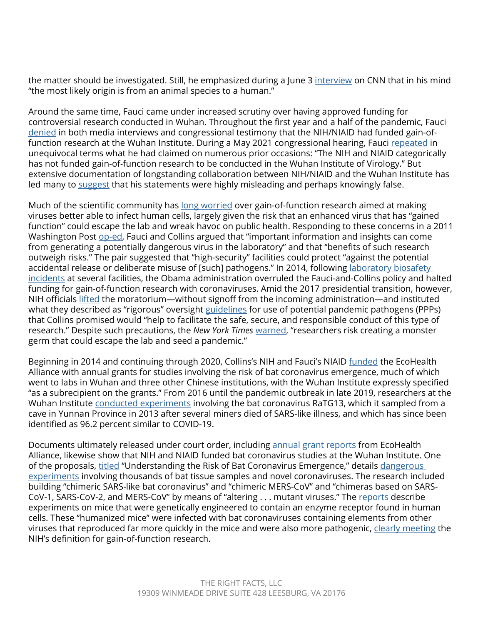the matter should be investigated. Still, he emphasized during a June 3 [interview](http://www.cnn.com/TRANSCRIPTS/2106/03/nday.05.html) on CNN that in his mind "the most likely origin is from an animal species to a human."

Around the same time, Fauci came under increased scrutiny over having approved funding for controversial research conducted in Wuhan. Throughout the first year and a half of the pandemic, Fauci [denied](https://www.washingtonexaminer.com/news/fauci-denies-nih-supported-gain-of-function-research-wuhan-lab) in both media interviews and congressional testimony that the NIH/NIAID had funded gain-offunction research at the Wuhan Institute. During a May 2021 congressional hearing, Fauci [repeated](https://denvergazette.com/news/fauci-stands-by-gain-of-function-research-denials-defends-collaboration-with-wuhan-lab/article_8ba272e2-2940-532c-9820-4b015465a246.html) in unequivocal terms what he had claimed on numerous prior occasions: "The NIH and NIAID categorically has not funded gain-of-function research to be conducted in the Wuhan Institute of Virology." But extensive documentation of longstanding collaboration between NIH/NIAID and the Wuhan Institute has led many to [suggest](https://spectatorworld.com/topic/slippery-semantics-anthony-fauci-gain-function-coronavirus/) that his statements were highly misleading and perhaps knowingly false.

Much of the scientific community has [long worried](https://www.nytimes.com/2017/12/19/health/lethal-viruses-nih.html) over gain-of-function research aimed at making viruses better able to infect human cells, largely given the risk that an enhanced virus that has "gained function" could escape the lab and wreak havoc on public health. Responding to these concerns in a 2011 Washington Post [op-ed](https://www.washingtonpost.com/opinions/a-flu-virus-risk-worth-taking/2011/12/30/gIQAM9sNRP_story.html), Fauci and Collins argued that "important information and insights can come from generating a potentially dangerous virus in the laboratory" and that "benefits of such research outweigh risks." The pair suggested that "high-security" facilities could protect "against the potential accidental release or deliberate misuse of [such] pathogens." In 2014, following *aboratory biosafety* [incidents](https://www.phe.gov/s3/dualuse/Documents/gof-qanda.pdf) at several facilities, the Obama administration overruled the Fauci-and-Collins policy and halted funding for gain-of-function research with coronaviruses. Amid the 2017 presidential transition, however, NIH officials [lifted](https://www.science.org/content/article/nih-lifts-3-year-ban-funding-risky-virus-studies) the moratorium—without signoff from the incoming administration—and instituted what they described as "rigorous" oversight [guidelines](https://www.phe.gov/s3/dualuse/Documents/p3co.pdf) for use of potential pandemic pathogens (PPPs) that Collins promised would "help to facilitate the safe, secure, and responsible conduct of this type of research." Despite such precautions, the *New York Times* [warned,](https://www.nytimes.com/2017/12/19/health/lethal-viruses-nih.html) "researchers risk creating a monster germ that could escape the lab and seed a pandemic."

Beginning in 2014 and continuing through 2020, Collins's NIH and Fauci's NIAID [funded](https://www.city-journal.org/new-evidence-for-lab-leak-hypothesis-of-covid-origins?wallit_nosession=1) the EcoHealth Alliance with annual grants for studies involving the risk of bat coronavirus emergence, much of which went to labs in Wuhan and three other Chinese institutions, with the Wuhan Institute expressly specified "as a subrecipient on the grants." From 2016 until the pandemic outbreak in late 2019, researchers at the Wuhan Institute [conducted experiments](https://2017-2021.state.gov/fact-sheet-activity-at-the-wuhan-institute-of-virology/index.html) involving the bat coronavirus RaTG13, which it sampled from a cave in Yunnan Province in 2013 after several miners died of SARS-like illness, and which has since been identified as 96.2 percent similar to COVID-19.

Documents ultimately released under court order, including [annual grant reports](https://theintercept.com/document/2021/09/09/the-intercept-v-national-institutes-of-health/) from EcoHealth Alliance, likewise show that NIH and NIAID funded bat coronavirus studies at the Wuhan Institute. One of the proposals, [titled](https://www.documentcloud.org/documents/21055989-understanding-risk-bat-coronavirus-emergence-grant-notice) "Understanding the Risk of Bat Coronavirus Emergence," details dangerous [experiments](https://theintercept.com/2021/09/09/covid-origins-gain-of-function-research/) involving thousands of bat tissue samples and novel coronaviruses. The research included building "chimeric SARS-like bat coronavirus" and "chimeric MERS-CoV" and "chimeras based on SARS-CoV-1, SARS-CoV-2, and MERS-CoV" by means of "altering . . . mutant viruses." The [reports](https://theintercept.com/document/2021/09/08/understanding-risk-of-zoonotic-virus-emergence-in-emerging-infectious-disease-hotspots-of-southeast-asia/) describe experiments on mice that were genetically engineered to contain an enzyme receptor found in human cells. These "humanized mice" were infected with bat coronaviruses containing elements from other viruses that reproduced far more quickly in the mice and were also more pathogenic, [clearly meeting](https://theintercept.com/2021/09/09/covid-origins-gain-of-function-research/) the NIH's definition for gain-of-function research.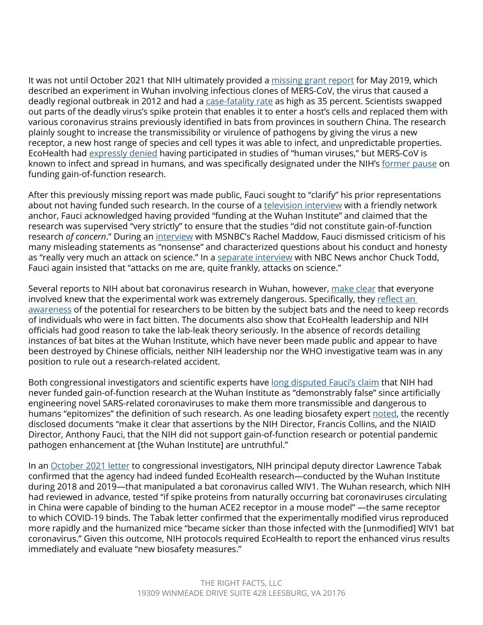It was not until October 2021 that NIH ultimately provided a [missing grant report](https://theintercept.com/2021/10/21/virus-mers-wuhan-experiments/) for May 2019, which described an experiment in Wuhan involving infectious clones of MERS-CoV, the virus that caused a deadly regional outbreak in 2012 and had a [case-fatality rate](https://www.who.int/health-topics/middle-east-respiratory-syndrome-coronavirus-mers) as high as 35 percent. Scientists swapped out parts of the deadly virus's spike protein that enables it to enter a host's cells and replaced them with various coronavirus strains previously identified in bats from provinces in southern China. The research plainly sought to increase the transmissibility or virulence of pathogens by giving the virus a new receptor, a new host range of species and cell types it was able to infect, and unpredictable properties. EcoHealth had [expressly denied](https://theintercept.com/2021/10/21/virus-mers-wuhan-experiments/) having participated in studies of "human viruses," but MERS-CoV is known to infect and spread in humans, and was specifically designated under the NIH's [former pause](http://nih.gov/about-nih/who-we-are/nih-director/statements/statement-funding-pause-certain-types-gain-function-research) on funding gain-of-function research.

After this previously missing report was made public, Fauci sought to "clarify" his prior representations about not having funded such research. In the course of a [television interview](https://abcnews.go.com/Politics/week-transcript-10-24-21-dr-anthony-fauci/story?id=80746200) with a friendly network anchor, Fauci acknowledged having provided "funding at the Wuhan Institute" and claimed that the research was supervised "very strictly" to ensure that the studies "did not constitute gain-of-function research *of concern*." During an [interview](https://www.msnbc.com/rachel-maddow/watch/-it-s-all-nonsense-dr-fauci-dismisses-targeting-by-right-wing-media-and-trump-acolytes-114360389945) with MSNBC's Rachel Maddow, Fauci dismissed criticism of his many misleading statements as "nonsense" and characterized questions about his conduct and honesty as "really very much an attack on science." In a [separate interview](https://www.cnbc.com/2021/06/09/fauci-blasts-preposterous-covid-conspiracies-accuses-critics-of-attacks-on-science.html) with NBC News anchor Chuck Todd, Fauci again insisted that "attacks on me are, quite frankly, attacks on science."

Several reports to NIH about bat coronavirus research in Wuhan, however, [make clear](https://www.documentcloud.org/documents/21055989-understanding-risk-bat-coronavirus-emergence-grant-notice) that everyone involved knew that the experimental work was extremely dangerous. Specifically, they reflect an [awareness](https://theintercept.com/2021/09/06/new-details-emerge-about-coronavirus-research-at-chinese-lab/) of the potential for researchers to be bitten by the subject bats and the need to keep records of individuals who were in fact bitten. The documents also show that EcoHealth leadership and NIH officials had good reason to take the lab-leak theory seriously. In the absence of records detailing instances of bat bites at the Wuhan Institute, which have never been made public and appear to have been destroyed by Chinese officials, neither NIH leadership nor the WHO investigative team was in any position to rule out a research-related accident.

Both congressional investigators and scientific experts have [long disputed Fauci's claim](https://www.nationalreview.com/news/internal-documents-further-contradict-faucis-gain-of-function-research-denials/) that NIH had never funded gain-of-function research at the Wuhan Institute as "demonstrably false" since artificially engineering novel SARS-related coronaviruses to make them more transmissible and dangerous to humans "epitomizes" the definition of such research. As one leading biosafety expert [noted](https://twitter.com/R_H_Ebright/status/1435053515785662464), the recently disclosed documents "make it clear that assertions by the NIH Director, Francis Collins, and the NIAID Director, Anthony Fauci, that the NIH did not support gain-of-function research or potential pandemic pathogen enhancement at [the Wuhan Institute] are untruthful."

In an [October 2021 letter](https://twitter.com/GOPoversight/status/1450934193177903105) to congressional investigators, NIH principal deputy director Lawrence Tabak confirmed that the agency had indeed funded EcoHealth research—conducted by the Wuhan Institute during 2018 and 2019—that manipulated a bat coronavirus called WIV1. The Wuhan research, which NIH had reviewed in advance, tested "if spike proteins from naturally occurring bat coronaviruses circulating in China were capable of binding to the human ACE2 receptor in a mouse model" —the same receptor to which COVID-19 binds. The Tabak letter confirmed that the experimentally modified virus reproduced more rapidly and the humanized mice "became sicker than those infected with the [unmodified] WIV1 bat coronavirus." Given this outcome, NIH protocols required EcoHealth to report the enhanced virus results immediately and evaluate "new biosafety measures."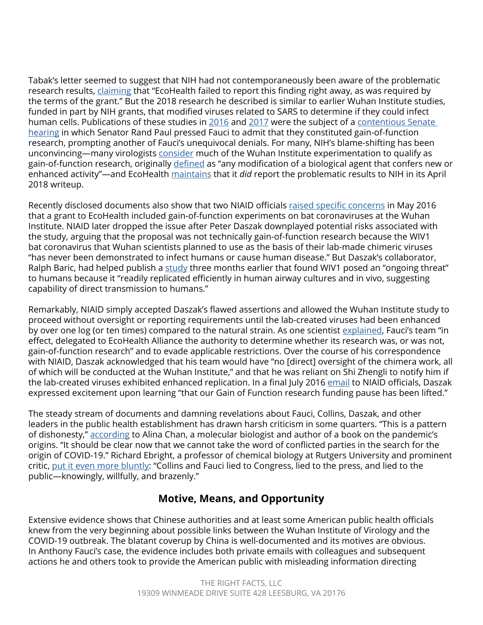Tabak's letter seemed to suggest that NIH had not contemporaneously been aware of the problematic research results, [claiming](https://republicans-energycommerce.house.gov/wp-content/uploads/2021/10/Year-5-EHA.pdf) that "EcoHealth failed to report this finding right away, as was required by the terms of the grant." But the 2018 research he described is similar to earlier Wuhan Institute studies, funded in part by NIH grants, that modified viruses related to SARS to determine if they could infect human cells. Publications of these studies in [2016](https://journals.asm.org/doi/10.1128/JVI.03079-15) and [2017](https://journals.plos.org/plospathogens/article?id=10.1371/journal.ppat.1006698) were the subject of a [contentious Senate](https://www.nationalreview.com/news/rand-paul-urges-fauci-to-abandon-gain-of-function-research-citing-possible-covid-lab-leak/)  [hearing](https://www.nationalreview.com/news/rand-paul-urges-fauci-to-abandon-gain-of-function-research-citing-possible-covid-lab-leak/) in which Senator Rand Paul pressed Fauci to admit that they constituted gain-of-function research, prompting another of Fauci's unequivocal denials. For many, NIH's blame-shifting has been unconvincing—many virologists [consider](https://theintercept.com/2021/09/09/covid-origins-gain-of-function-research/) much of the Wuhan Institute experimentation to qualify as gain-of-function research, originally [defined](https://www.phe.gov/s3/dualuse/Documents/gof-qanda.pdf) as "any modification of a biological agent that confers new or enhanced activity"—and EcoHealth [maintains](https://www.vanityfair.com/news/2021/10/nih-admits-funding-risky-virus-research-in-wuhan) that it *did* report the problematic results to NIH in its April 2018 writeup.

Recently disclosed documents also show that two NIAID officials [raised specific concerns](https://dailycaller.com/2021/11/03/fauci-nih-ecohealth-peter-daszak-gain-of-function-wuhan-covid-19/) in May 2016 that a grant to EcoHealth included gain-of-function experiments on bat coronaviruses at the Wuhan Institute. NIAID later dropped the issue after Peter Daszak downplayed potential risks associated with the study, arguing that the proposal was not technically gain-of-function research because the WIV1 bat coronavirus that Wuhan scientists planned to use as the basis of their lab-made chimeric viruses "has never been demonstrated to infect humans or cause human disease." But Daszak's collaborator, Ralph Baric, had helped publish a [study](https://www.pnas.org/content/113/11/3048) three months earlier that found WIV1 posed an "ongoing threat" to humans because it "readily replicated efficiently in human airway cultures and in vivo, suggesting capability of direct transmission to humans."

Remarkably, NIAID simply accepted Daszak's flawed assertions and allowed the Wuhan Institute study to proceed without oversight or reporting requirements until the lab-created viruses had been enhanced by over one log (or ten times) compared to the natural strain. As one scientist [explained](https://dailycaller.com/2021/11/03/fauci-nih-ecohealth-peter-daszak-gain-of-function-wuhan-covid-19/), Fauci's team "in effect, delegated to EcoHealth Alliance the authority to determine whether its research was, or was not, gain-of-function research" and to evade applicable restrictions. Over the course of his correspondence with NIAID, Daszak acknowledged that his team would have "no [direct] oversight of the chimera work, all of which will be conducted at the Wuhan Institute," and that he was reliant on Shi Zhengli to notify him if the lab-created viruses exhibited enhanced replication. In a final July 2016 [email](https://dailycaller.com/2021/11/03/fauci-nih-ecohealth-peter-daszak-gain-of-function-wuhan-covid-19/) to NIAID officials, Daszak expressed excitement upon learning "that our Gain of Function research funding pause has been lifted."

The steady stream of documents and damning revelations about Fauci, Collins, Daszak, and other leaders in the public health establishment has drawn harsh criticism in some quarters. "This is a pattern of dishonesty," [according](https://theintercept.com/2021/10/21/virus-mers-wuhan-experiments/) to Alina Chan, a molecular biologist and author of a book on the pandemic's origins. "It should be clear now that we cannot take the word of conflicted parties in the search for the origin of COVID-19." Richard Ebright, a professor of chemical biology at Rutgers University and prominent critic, [put it even more bluntly:](https://www.yahoo.com/now/bombshell-nih-letter-bat-coronavirus-064500240.html?guccounter=1) "Collins and Fauci lied to Congress, lied to the press, and lied to the public—knowingly, willfully, and brazenly."

### **Motive, Means, and Opportunity**

Extensive evidence shows that Chinese authorities and at least some American public health officials knew from the very beginning about possible links between the Wuhan Institute of Virology and the COVID-19 outbreak. The blatant coverup by China is well-documented and its motives are obvious. In Anthony Fauci's case, the evidence includes both private emails with colleagues and subsequent actions he and others took to provide the American public with misleading information directing